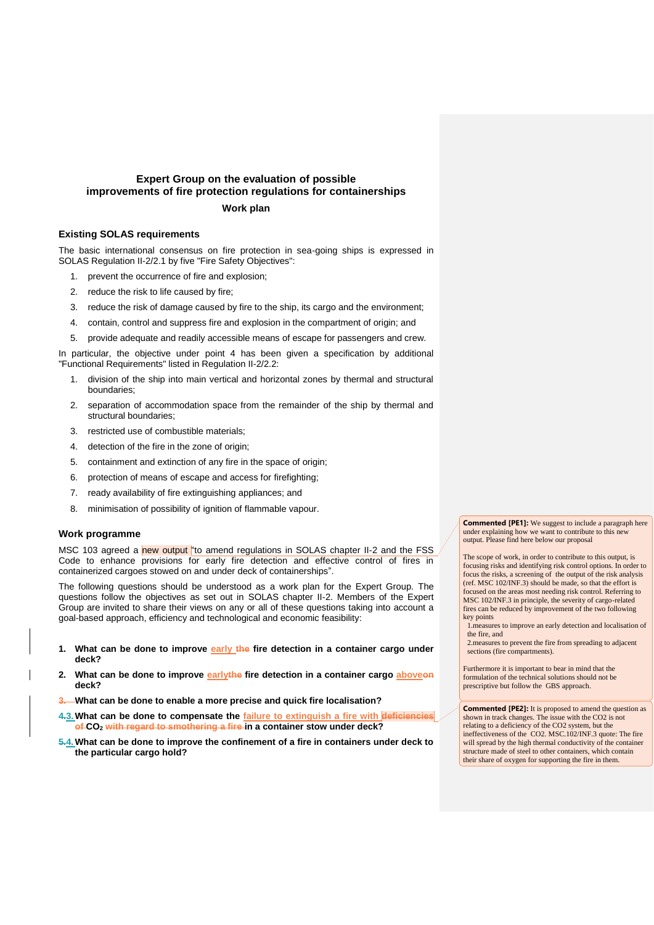## **Expert Group on the evaluation of possible improvements of fire protection regulations for containerships Work plan**

## **Existing SOLAS requirements**

The basic international consensus on fire protection in sea-going ships is expressed in SOLAS Regulation II-2/2.1 by five "Fire Safety Objectives":

- 1. prevent the occurrence of fire and explosion;
- 2. reduce the risk to life caused by fire;
- 3. reduce the risk of damage caused by fire to the ship, its cargo and the environment;
- 4. contain, control and suppress fire and explosion in the compartment of origin; and
- 5. provide adequate and readily accessible means of escape for passengers and crew.

In particular, the objective under point 4 has been given a specification by additional "Functional Requirements" listed in Regulation II-2/2.2:

- 1. division of the ship into main vertical and horizontal zones by thermal and structural boundaries;
- 2. separation of accommodation space from the remainder of the ship by thermal and structural boundaries;
- 3. restricted use of combustible materials;
- 4. detection of the fire in the zone of origin;
- 5. containment and extinction of any fire in the space of origin;
- 6. protection of means of escape and access for firefighting;
- 7. ready availability of fire extinguishing appliances; and
- 8. minimisation of possibility of ignition of flammable vapour.

## **Work programme**

MSC 103 agreed a new output "to amend regulations in SOLAS chapter II-2 and the FSS Code to enhance provisions for early fire detection and effective control of fires in containerized cargoes stowed on and under deck of containerships".

The following questions should be understood as a work plan for the Expert Group. The questions follow the objectives as set out in SOLAS chapter II-2. Members of the Expert Group are invited to share their views on any or all of these questions taking into account a goal-based approach, efficiency and technological and economic feasibility:

- **1. What can be done to improve early the fire detection in a container cargo under deck?**
- **2. What can be done to improve earlythe fire detection in a container cargo aboveon deck?**
- **3. What can be done to enable a more precise and quick fire localisation?**
- **4.3.What can be done to compensate the failure to extinguish a fire with deficiencies of CO<sup>2</sup> with regard to smothering a fire in a container stow under deck?**
- **5.4.What can be done to improve the confinement of a fire in containers under deck to the particular cargo hold?**

**Commented [PE1]:** We suggest to include a paragraph here under explaining how we want to contribute to this new output. Please find here below our proposal

The scope of work, in order to contribute to this output, is focusing risks and identifying risk control options. In order to focus the risks, a screening of the output of the risk analysis (ref. MSC 102/INF.3) should be made, so that the effort is focused on the areas most needing risk control. Referring to MSC 102/INF.3 in principle, the severity of cargo-related fires can be reduced by improvement of the two following key points

1.measures to improve an early detection and localisation of the fire, and

2.measures to prevent the fire from spreading to adjacent sections (fire compartments).

Furthermore it is important to bear in mind that the formulation of the technical solutions should not be prescriptive but follow the GBS approach.

**Commented [PE2]:** It is proposed to amend the question as shown in track changes. The issue with the CO2 is not relating to a deficiency of the CO2 system, but the ineffectiveness of the CO2. MSC.102/INF.3 quote: The fire will spread by the high thermal conductivity of the container structure made of steel to other containers, which contain their share of oxygen for supporting the fire in them.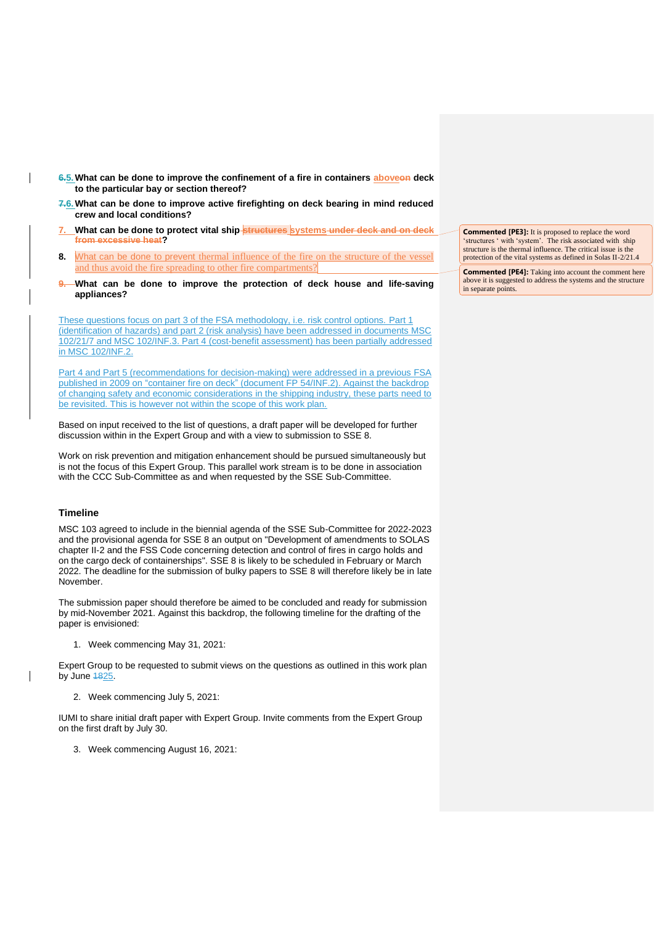- **6.5.What can be done to improve the confinement of a fire in containers aboveon deck to the particular bay or section thereof?**
- **7.6.What can be done to improve active firefighting on deck bearing in mind reduced crew and local conditions?**
- **7. What can be done to protect vital ship structures systems under deck and on deck from excessive heat?**
- **8.** What can be done to prevent thermal influence of the fire on the structure of the vessel and thus avoid the fire spreading to other fire compartments?
- **9. What can be done to improve the protection of deck house and life-saving appliances?**

These questions focus on part 3 of the FSA methodology, i.e. risk control options. Part 1 (identification of hazards) and part 2 (risk analysis) have been addressed in documents MSC 102/21/7 and MSC 102/INF.3. Part 4 (cost-benefit assessment) has been partially addressed in MSC 102/INF.2.

Part 4 and Part 5 (recommendations for decision-making) were addressed in a previous FSA published in 2009 on "container fire on deck" (document FP 54/INF.2). Against the backdrop of changing safety and economic considerations in the shipping industry, these parts need to be revisited. This is however not within the scope of this work plan.

Based on input received to the list of questions, a draft paper will be developed for further discussion within in the Expert Group and with a view to submission to SSE 8.

Work on risk prevention and mitigation enhancement should be pursued simultaneously but is not the focus of this Expert Group. This parallel work stream is to be done in association with the CCC Sub-Committee as and when requested by the SSE Sub-Committee.

## **Timeline**

MSC 103 agreed to include in the biennial agenda of the SSE Sub-Committee for 2022-2023 and the provisional agenda for SSE 8 an output on "Development of amendments to SOLAS chapter II-2 and the FSS Code concerning detection and control of fires in cargo holds and on the cargo deck of containerships". SSE 8 is likely to be scheduled in February or March 2022. The deadline for the submission of bulky papers to SSE 8 will therefore likely be in late November.

The submission paper should therefore be aimed to be concluded and ready for submission by mid-November 2021. Against this backdrop, the following timeline for the drafting of the paper is envisioned:

1. Week commencing May 31, 2021:

Expert Group to be requested to submit views on the questions as outlined in this work plan by June  $1825$ .

2. Week commencing July 5, 2021:

IUMI to share initial draft paper with Expert Group. Invite comments from the Expert Group on the first draft by July 30.

3. Week commencing August 16, 2021:

**Commented [PE3]:** It is proposed to replace the word 'structures ' with 'system'. The risk associated with ship structure is the thermal influence. The critical issue is the protection of the vital systems as defined in Solas II-2/21.4

**Commented [PE4]:** Taking into account the comment here above it is suggested to address the systems and the structure in separate points.